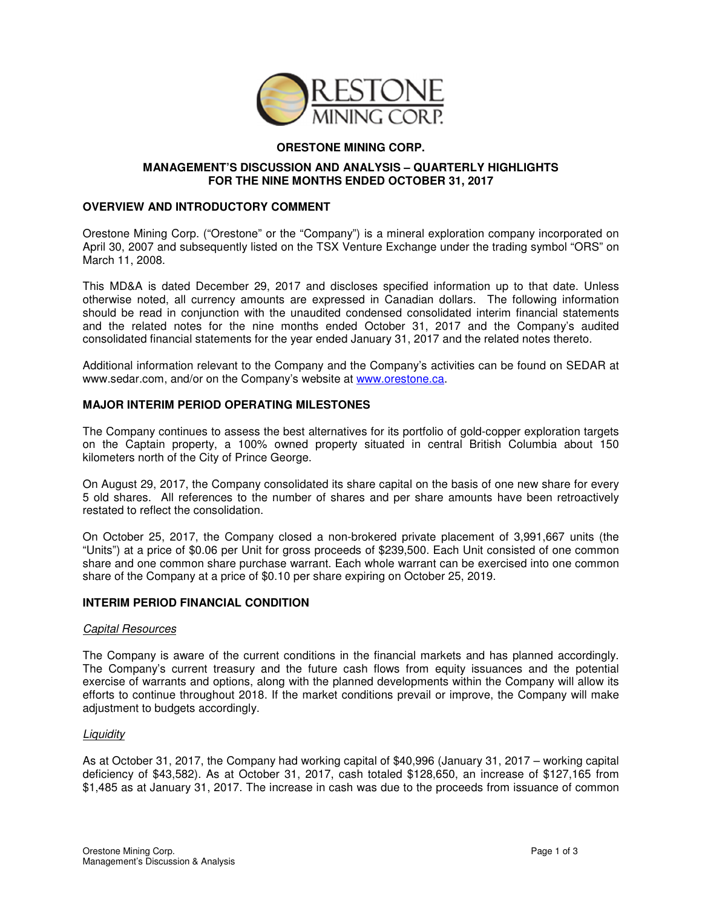

# **ORESTONE MINING CORP.**

## **MANAGEMENT'S DISCUSSION AND ANALYSIS – QUARTERLY HIGHLIGHTS FOR THE NINE MONTHS ENDED OCTOBER 31, 2017**

## **OVERVIEW AND INTRODUCTORY COMMENT**

Orestone Mining Corp. ("Orestone" or the "Company") is a mineral exploration company incorporated on April 30, 2007 and subsequently listed on the TSX Venture Exchange under the trading symbol "ORS" on March 11, 2008.

This MD&A is dated December 29, 2017 and discloses specified information up to that date. Unless otherwise noted, all currency amounts are expressed in Canadian dollars. The following information should be read in conjunction with the unaudited condensed consolidated interim financial statements and the related notes for the nine months ended October 31, 2017 and the Company's audited consolidated financial statements for the year ended January 31, 2017 and the related notes thereto.

Additional information relevant to the Company and the Company's activities can be found on SEDAR at www.sedar.com, and/or on the Company's website at www.orestone.ca.

# **MAJOR INTERIM PERIOD OPERATING MILESTONES**

The Company continues to assess the best alternatives for its portfolio of gold-copper exploration targets on the Captain property, a 100% owned property situated in central British Columbia about 150 kilometers north of the City of Prince George.

On August 29, 2017, the Company consolidated its share capital on the basis of one new share for every 5 old shares. All references to the number of shares and per share amounts have been retroactively restated to reflect the consolidation.

On October 25, 2017, the Company closed a non-brokered private placement of 3,991,667 units (the "Units") at a price of \$0.06 per Unit for gross proceeds of \$239,500. Each Unit consisted of one common share and one common share purchase warrant. Each whole warrant can be exercised into one common share of the Company at a price of \$0.10 per share expiring on October 25, 2019.

## **INTERIM PERIOD FINANCIAL CONDITION**

#### Capital Resources

The Company is aware of the current conditions in the financial markets and has planned accordingly. The Company's current treasury and the future cash flows from equity issuances and the potential exercise of warrants and options, along with the planned developments within the Company will allow its efforts to continue throughout 2018. If the market conditions prevail or improve, the Company will make adjustment to budgets accordingly.

## **Liquidity**

As at October 31, 2017, the Company had working capital of \$40,996 (January 31, 2017 – working capital deficiency of \$43,582). As at October 31, 2017, cash totaled \$128,650, an increase of \$127,165 from \$1,485 as at January 31, 2017. The increase in cash was due to the proceeds from issuance of common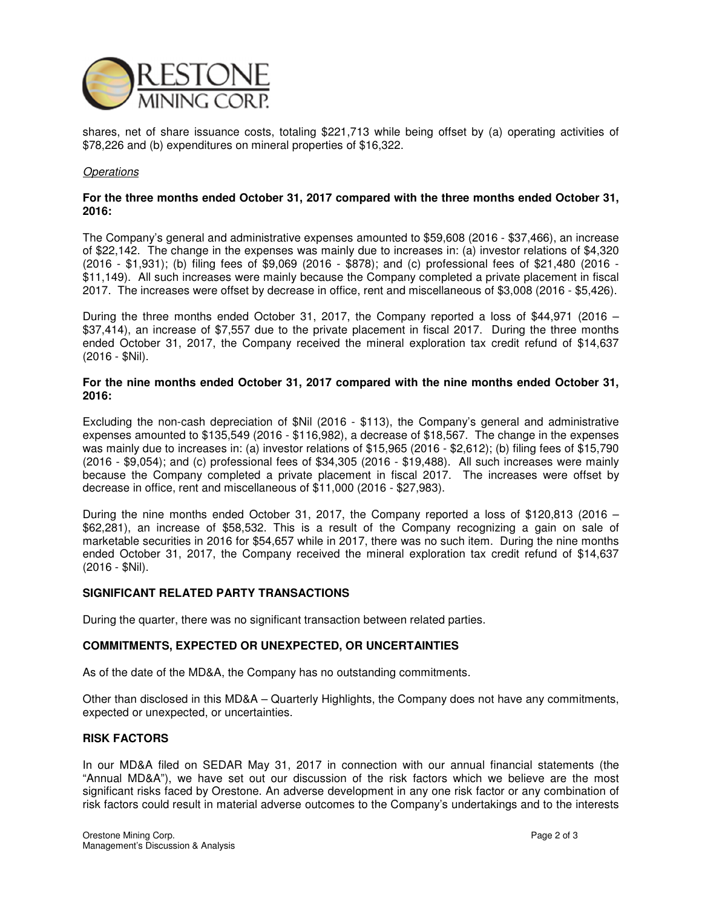

shares, net of share issuance costs, totaling \$221,713 while being offset by (a) operating activities of \$78,226 and (b) expenditures on mineral properties of \$16,322.

#### **Operations**

#### **For the three months ended October 31, 2017 compared with the three months ended October 31, 2016:**

The Company's general and administrative expenses amounted to \$59,608 (2016 - \$37,466), an increase of \$22,142. The change in the expenses was mainly due to increases in: (a) investor relations of \$4,320 (2016 - \$1,931); (b) filing fees of \$9,069 (2016 - \$878); and (c) professional fees of \$21,480 (2016 - \$11,149). All such increases were mainly because the Company completed a private placement in fiscal 2017. The increases were offset by decrease in office, rent and miscellaneous of \$3,008 (2016 - \$5,426).

During the three months ended October 31, 2017, the Company reported a loss of \$44,971 (2016 – \$37,414), an increase of \$7,557 due to the private placement in fiscal 2017. During the three months ended October 31, 2017, the Company received the mineral exploration tax credit refund of \$14,637 (2016 - \$Nil).

## **For the nine months ended October 31, 2017 compared with the nine months ended October 31, 2016:**

Excluding the non-cash depreciation of \$Nil (2016 - \$113), the Company's general and administrative expenses amounted to \$135,549 (2016 - \$116,982), a decrease of \$18,567. The change in the expenses was mainly due to increases in: (a) investor relations of \$15,965 (2016 - \$2,612); (b) filing fees of \$15,790 (2016 - \$9,054); and (c) professional fees of \$34,305 (2016 - \$19,488). All such increases were mainly because the Company completed a private placement in fiscal 2017. The increases were offset by decrease in office, rent and miscellaneous of \$11,000 (2016 - \$27,983).

During the nine months ended October 31, 2017, the Company reported a loss of \$120,813 (2016 – \$62,281), an increase of \$58,532. This is a result of the Company recognizing a gain on sale of marketable securities in 2016 for \$54,657 while in 2017, there was no such item. During the nine months ended October 31, 2017, the Company received the mineral exploration tax credit refund of \$14,637 (2016 - \$Nil).

## **SIGNIFICANT RELATED PARTY TRANSACTIONS**

During the quarter, there was no significant transaction between related parties.

## **COMMITMENTS, EXPECTED OR UNEXPECTED, OR UNCERTAINTIES**

As of the date of the MD&A, the Company has no outstanding commitments.

Other than disclosed in this MD&A – Quarterly Highlights, the Company does not have any commitments, expected or unexpected, or uncertainties.

## **RISK FACTORS**

In our MD&A filed on SEDAR May 31, 2017 in connection with our annual financial statements (the "Annual MD&A"), we have set out our discussion of the risk factors which we believe are the most significant risks faced by Orestone. An adverse development in any one risk factor or any combination of risk factors could result in material adverse outcomes to the Company's undertakings and to the interests